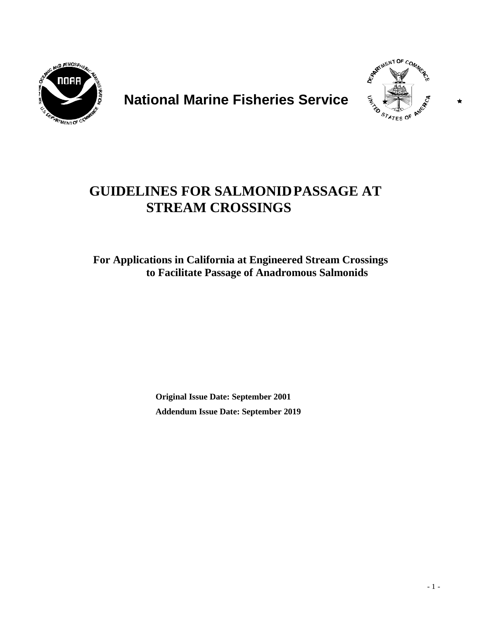

# **National Marine Fisheries Service**



# **GUIDELINES FOR SALMONIDPASSAGE AT STREAM CROSSINGS**

**For Applications in California at Engineered Stream Crossings to Facilitate Passage of Anadromous Salmonids**

> **Original Issue Date: September 2001 Addendum Issue Date: September 2019**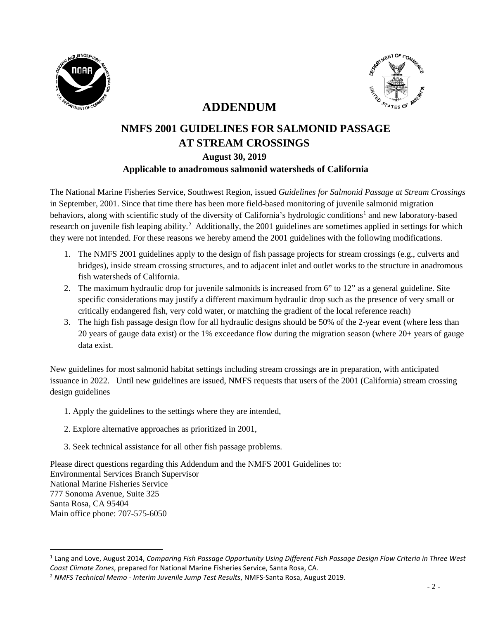

 $\overline{a}$ 



# **ADDENDUM**

# **NMFS 2001 GUIDELINES FOR SALMONID PASSAGE AT STREAM CROSSINGS August 30, 2019 Applicable to anadromous salmonid watersheds of California**

The National Marine Fisheries Service, Southwest Region, issued *Guidelines for Salmonid Passage at Stream Crossings* in September, 2001. Since that time there has been more field-based monitoring of juvenile salmonid migration behaviors, along with scientific study of the diversity of California's hydrologic conditions<sup>[1](#page-1-0)</sup> and new laboratory-based research on juvenile fish leaping ability.<sup>[2](#page-1-1)</sup> Additionally, the 2001 guidelines are sometimes applied in settings for which they were not intended. For these reasons we hereby amend the 2001 guidelines with the following modifications.

- 1. The NMFS 2001 guidelines apply to the design of fish passage projects for stream crossings (e.g., culverts and bridges), inside stream crossing structures, and to adjacent inlet and outlet works to the structure in anadromous fish watersheds of California.
- 2. The maximum hydraulic drop for juvenile salmonids is increased from 6" to 12" as a general guideline. Site specific considerations may justify a different maximum hydraulic drop such as the presence of very small or critically endangered fish, very cold water, or matching the gradient of the local reference reach)
- 3. The high fish passage design flow for all hydraulic designs should be 50% of the 2-year event (where less than 20 years of gauge data exist) or the 1% exceedance flow during the migration season (where 20+ years of gauge data exist.

New guidelines for most salmonid habitat settings including stream crossings are in preparation, with anticipated issuance in 2022. Until new guidelines are issued, NMFS requests that users of the 2001 (California) stream crossing design guidelines

- 1. Apply the guidelines to the settings where they are intended,
- 2. Explore alternative approaches as prioritized in 2001,
- 3. Seek technical assistance for all other fish passage problems.

Please direct questions regarding this Addendum and the NMFS 2001 Guidelines to: Environmental Services Branch Supervisor National Marine Fisheries Service 777 Sonoma Avenue, Suite 325 Santa Rosa, CA 95404 Main office phone: 707-575-6050

<span id="page-1-0"></span><sup>1</sup> Lang and Love, August 2014, *Comparing Fish Passage Opportunity Using Different Fish Passage Design Flow Criteria in Three West Coast Climate Zones*, prepared for National Marine Fisheries Service, Santa Rosa, CA.

<span id="page-1-1"></span><sup>2</sup> *NMFS Technical Memo - Interim Juvenile Jump Test Results*, NMFS-Santa Rosa, August 2019.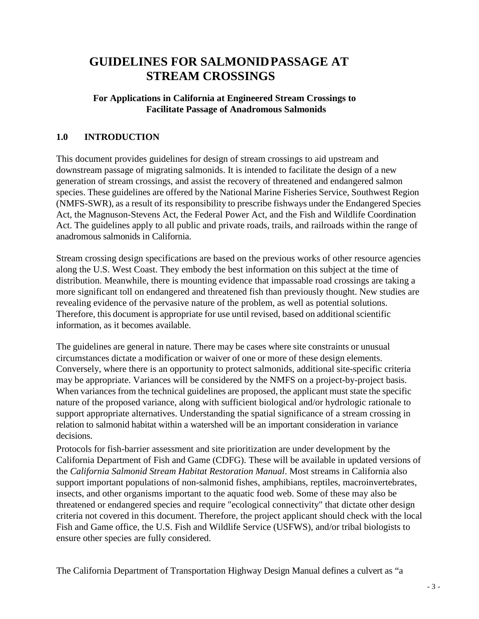# **GUIDELINES FOR SALMONIDPASSAGE AT STREAM CROSSINGS**

# **For Applications in California at Engineered Stream Crossings to Facilitate Passage of Anadromous Salmonids**

# **1.0 INTRODUCTION**

This document provides guidelines for design of stream crossings to aid upstream and downstream passage of migrating salmonids. It is intended to facilitate the design of a new generation of stream crossings, and assist the recovery of threatened and endangered salmon species. These guidelines are offered by the National Marine Fisheries Service, Southwest Region (NMFS-SWR), as a result of its responsibility to prescribe fishways under the Endangered Species Act, the Magnuson-Stevens Act, the Federal Power Act, and the Fish and Wildlife Coordination Act. The guidelines apply to all public and private roads, trails, and railroads within the range of anadromous salmonids in California.

Stream crossing design specifications are based on the previous works of other resource agencies along the U.S. West Coast. They embody the best information on this subject at the time of distribution. Meanwhile, there is mounting evidence that impassable road crossings are taking a more significant toll on endangered and threatened fish than previously thought. New studies are revealing evidence of the pervasive nature of the problem, as well as potential solutions. Therefore, this document is appropriate for use until revised, based on additional scientific information, as it becomes available.

The guidelines are general in nature. There may be cases where site constraints or unusual circumstances dictate a modification or waiver of one or more of these design elements. Conversely, where there is an opportunity to protect salmonids, additional site-specific criteria may be appropriate. Variances will be considered by the NMFS on a project-by-project basis. When variances from the technical guidelines are proposed, the applicant must state the specific nature of the proposed variance, along with sufficient biological and/or hydrologic rationale to support appropriate alternatives. Understanding the spatial significance of a stream crossing in relation to salmonid habitat within a watershed will be an important consideration in variance decisions.

Protocols for fish-barrier assessment and site prioritization are under development by the California Department of Fish and Game (CDFG). These will be available in updated versions of the *California Salmonid Stream Habitat Restoration Manual*. Most streams in California also support important populations of non-salmonid fishes, amphibians, reptiles, macroinvertebrates, insects, and other organisms important to the aquatic food web. Some of these may also be threatened or endangered species and require "ecological connectivity" that dictate other design criteria not covered in this document. Therefore, the project applicant should check with the local Fish and Game office, the U.S. Fish and Wildlife Service (USFWS), and/or tribal biologists to ensure other species are fully considered.

The California Department of Transportation Highway Design Manual defines a culvert as "a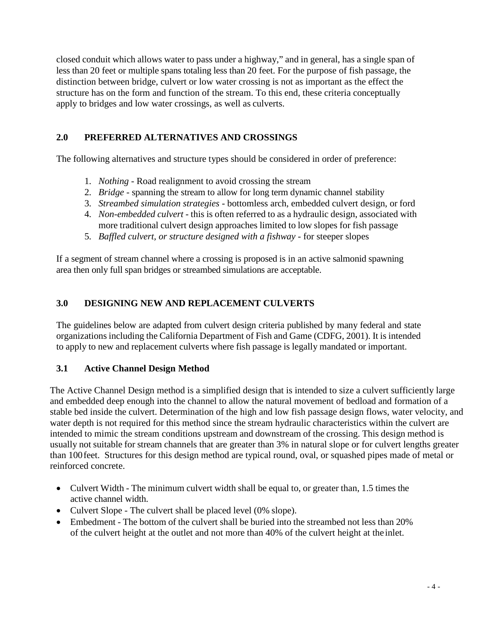closed conduit which allows water to pass under a highway," and in general, has a single span of less than 20 feet or multiple spans totaling less than 20 feet. For the purpose of fish passage, the distinction between bridge, culvert or low water crossing is not as important as the effect the structure has on the form and function of the stream. To this end, these criteria conceptually apply to bridges and low water crossings, as well as culverts.

# **2.0 PREFERRED ALTERNATIVES AND CROSSINGS**

The following alternatives and structure types should be considered in order of preference:

- 1. *Nothing*  Road realignment to avoid crossing the stream
- 2. *Bridge*  spanning the stream to allow for long term dynamic channel stability
- 3. *Streambed simulation strategies*  bottomless arch, embedded culvert design, or ford
- 4. *Non-embedded culvert* this is often referred to as a hydraulic design, associated with more traditional culvert design approaches limited to low slopes for fish passage
- 5. *Baffled culvert, or structure designed with a fishway*  for steeper slopes

If a segment of stream channel where a crossing is proposed is in an active salmonid spawning area then only full span bridges or streambed simulations are acceptable.

## **3.0 DESIGNING NEW AND REPLACEMENT CULVERTS**

The guidelines below are adapted from culvert design criteria published by many federal and state organizations including the California Department of Fish and Game (CDFG, 2001). It is intended to apply to new and replacement culverts where fish passage is legally mandated or important.

## **3.1 Active Channel Design Method**

The Active Channel Design method is a simplified design that is intended to size a culvert sufficiently large and embedded deep enough into the channel to allow the natural movement of bedload and formation of a stable bed inside the culvert. Determination of the high and low fish passage design flows, water velocity, and water depth is not required for this method since the stream hydraulic characteristics within the culvert are intended to mimic the stream conditions upstream and downstream of the crossing. This design method is usually not suitable for stream channels that are greater than 3% in natural slope or for culvert lengths greater than 100feet. Structures for this design method are typical round, oval, or squashed pipes made of metal or reinforced concrete.

- Culvert Width The minimum culvert width shall be equal to, or greater than, 1.5 times the active channel width.
- Culvert Slope The culvert shall be placed level (0% slope).
- Embedment The bottom of the culvert shall be buried into the streambed not less than 20% of the culvert height at the outlet and not more than 40% of the culvert height at the inlet.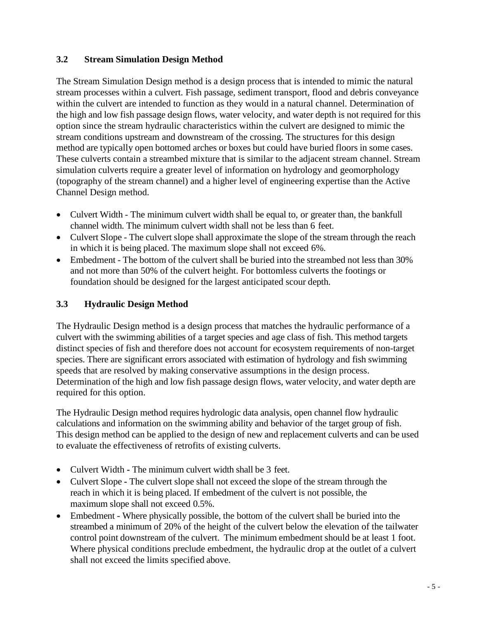# **3.2 Stream Simulation Design Method**

The Stream Simulation Design method is a design process that is intended to mimic the natural stream processes within a culvert. Fish passage, sediment transport, flood and debris conveyance within the culvert are intended to function as they would in a natural channel. Determination of the high and low fish passage design flows, water velocity, and water depth is not required for this option since the stream hydraulic characteristics within the culvert are designed to mimic the stream conditions upstream and downstream of the crossing. The structures for this design method are typically open bottomed arches or boxes but could have buried floors in some cases. These culverts contain a streambed mixture that is similar to the adjacent stream channel. Stream simulation culverts require a greater level of information on hydrology and geomorphology (topography of the stream channel) and a higher level of engineering expertise than the Active Channel Design method.

- Culvert Width The minimum culvert width shall be equal to, or greater than, the bankfull channel width. The minimum culvert width shall not be less than 6 feet.
- Culvert Slope The culvert slope shall approximate the slope of the stream through the reach in which it is being placed. The maximum slope shall not exceed 6%.
- Embedment The bottom of the culvert shall be buried into the streambed not less than 30% and not more than 50% of the culvert height. For bottomless culverts the footings or foundation should be designed for the largest anticipated scour depth.

# **3.3 Hydraulic Design Method**

The Hydraulic Design method is a design process that matches the hydraulic performance of a culvert with the swimming abilities of a target species and age class of fish. This method targets distinct species of fish and therefore does not account for ecosystem requirements of non-target species. There are significant errors associated with estimation of hydrology and fish swimming speeds that are resolved by making conservative assumptions in the design process. Determination of the high and low fish passage design flows, water velocity, and water depth are required for this option.

The Hydraulic Design method requires hydrologic data analysis, open channel flow hydraulic calculations and information on the swimming ability and behavior of the target group of fish. This design method can be applied to the design of new and replacement culverts and can be used to evaluate the effectiveness of retrofits of existing culverts.

- Culvert Width **-** The minimum culvert width shall be 3 feet.
- Culvert Slope **-** The culvert slope shall not exceed the slope of the stream through the reach in which it is being placed. If embedment of the culvert is not possible, the maximum slope shall not exceed 0.5%.
- Embedment Where physically possible, the bottom of the culvert shall be buried into the streambed a minimum of 20% of the height of the culvert below the elevation of the tailwater control point downstream of the culvert. The minimum embedment should be at least 1 foot. Where physical conditions preclude embedment, the hydraulic drop at the outlet of a culvert shall not exceed the limits specified above.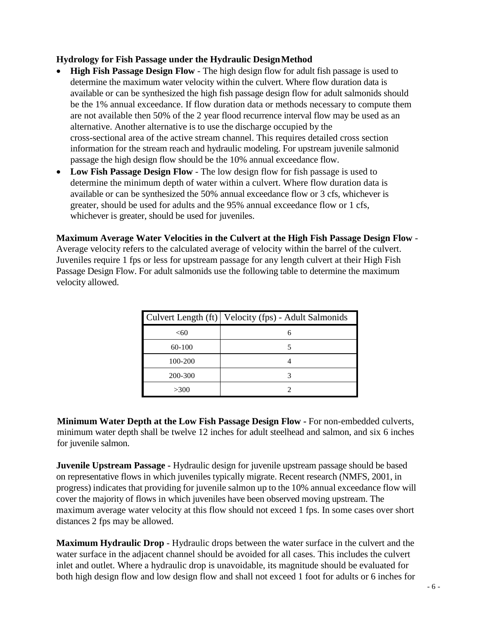#### **Hydrology for Fish Passage under the Hydraulic DesignMethod**

- **High Fish Passage Design Flow**  The high design flow for adult fish passage is used to determine the maximum water velocity within the culvert. Where flow duration data is available or can be synthesized the high fish passage design flow for adult salmonids should be the 1% annual exceedance. If flow duration data or methods necessary to compute them are not available then 50% of the 2 year flood recurrence interval flow may be used as an alternative. Another alternative is to use the discharge occupied by the cross-sectional area of the active stream channel. This requires detailed cross section information for the stream reach and hydraulic modeling. For upstream juvenile salmonid passage the high design flow should be the 10% annual exceedance flow.
- Low Fish Passage Design Flow The low design flow for fish passage is used to determine the minimum depth of water within a culvert. Where flow duration data is available or can be synthesized the 50% annual exceedance flow or 3 cfs, whichever is greater, should be used for adults and the 95% annual exceedance flow or 1 cfs, whichever is greater, should be used for juveniles.

**Maximum Average Water Velocities in the Culvert at the High Fish Passage Design Flow** -

Average velocity refers to the calculated average of velocity within the barrel of the culvert. Juveniles require 1 fps or less for upstream passage for any length culvert at their High Fish Passage Design Flow. For adult salmonids use the following table to determine the maximum velocity allowed.

|         | Culvert Length (ft)   Velocity (fps) - Adult Salmonids |
|---------|--------------------------------------------------------|
| < 60    | 6                                                      |
| 60-100  |                                                        |
| 100-200 |                                                        |
| 200-300 |                                                        |
| >300    |                                                        |

**Minimum Water Depth at the Low Fish Passage Design Flow -** For non-embedded culverts, minimum water depth shall be twelve 12 inches for adult steelhead and salmon, and six 6 inches for juvenile salmon.

**Juvenile Upstream Passage -** Hydraulic design for juvenile upstream passage should be based on representative flows in which juveniles typically migrate. Recent research (NMFS, 2001, in progress) indicates that providing for juvenile salmon up to the 10% annual exceedance flow will cover the majority of flows in which juveniles have been observed moving upstream. The maximum average water velocity at this flow should not exceed 1 fps. In some cases over short distances 2 fps may be allowed.

**Maximum Hydraulic Drop** - Hydraulic drops between the water surface in the culvert and the water surface in the adjacent channel should be avoided for all cases. This includes the culvert inlet and outlet. Where a hydraulic drop is unavoidable, its magnitude should be evaluated for both high design flow and low design flow and shall not exceed 1 foot for adults or 6 inches for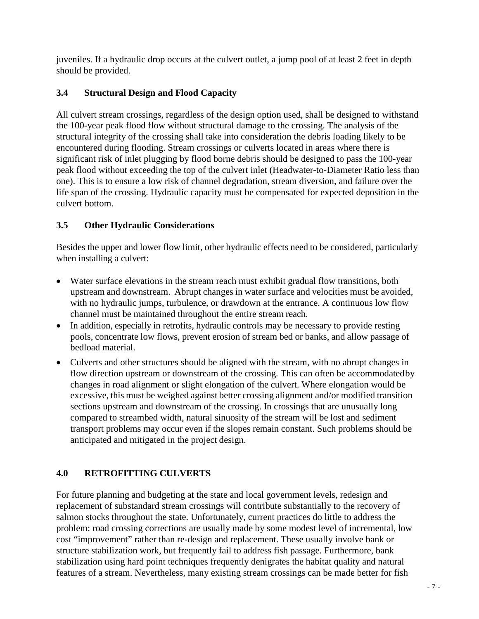juveniles. If a hydraulic drop occurs at the culvert outlet, a jump pool of at least 2 feet in depth should be provided.

# **3.4 Structural Design and Flood Capacity**

All culvert stream crossings, regardless of the design option used, shall be designed to withstand the 100-year peak flood flow without structural damage to the crossing. The analysis of the structural integrity of the crossing shall take into consideration the debris loading likely to be encountered during flooding. Stream crossings or culverts located in areas where there is significant risk of inlet plugging by flood borne debris should be designed to pass the 100-year peak flood without exceeding the top of the culvert inlet (Headwater-to-Diameter Ratio less than one). This is to ensure a low risk of channel degradation, stream diversion, and failure over the life span of the crossing. Hydraulic capacity must be compensated for expected deposition in the culvert bottom.

## **3.5 Other Hydraulic Considerations**

Besides the upper and lower flow limit, other hydraulic effects need to be considered, particularly when installing a culvert:

- Water surface elevations in the stream reach must exhibit gradual flow transitions, both upstream and downstream. Abrupt changes in water surface and velocities must be avoided, with no hydraulic jumps, turbulence, or drawdown at the entrance. A continuous low flow channel must be maintained throughout the entire stream reach.
- In addition, especially in retrofits, hydraulic controls may be necessary to provide resting pools, concentrate low flows, prevent erosion of stream bed or banks, and allow passage of bedload material.
- Culverts and other structures should be aligned with the stream, with no abrupt changes in flow direction upstream or downstream of the crossing. This can often be accommodatedby changes in road alignment or slight elongation of the culvert. Where elongation would be excessive, this must be weighed against better crossing alignment and/or modified transition sections upstream and downstream of the crossing. In crossings that are unusually long compared to streambed width, natural sinuosity of the stream will be lost and sediment transport problems may occur even if the slopes remain constant. Such problems should be anticipated and mitigated in the project design.

# **4.0 RETROFITTING CULVERTS**

For future planning and budgeting at the state and local government levels, redesign and replacement of substandard stream crossings will contribute substantially to the recovery of salmon stocks throughout the state. Unfortunately, current practices do little to address the problem: road crossing corrections are usually made by some modest level of incremental, low cost "improvement" rather than re-design and replacement. These usually involve bank or structure stabilization work, but frequently fail to address fish passage. Furthermore, bank stabilization using hard point techniques frequently denigrates the habitat quality and natural features of a stream. Nevertheless, many existing stream crossings can be made better for fish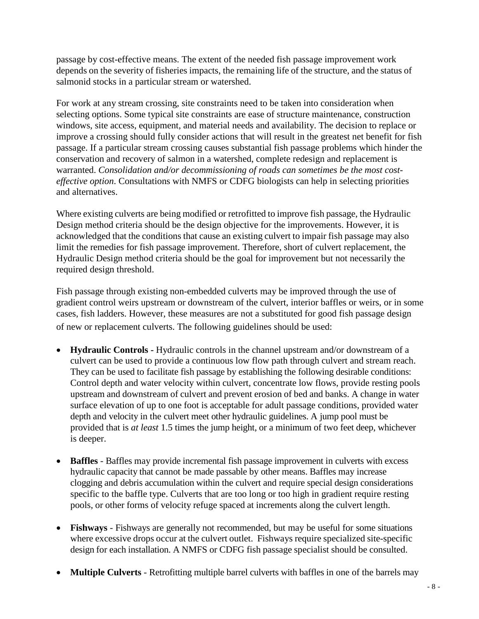passage by cost-effective means. The extent of the needed fish passage improvement work depends on the severity of fisheries impacts, the remaining life of the structure, and the status of salmonid stocks in a particular stream or watershed.

For work at any stream crossing, site constraints need to be taken into consideration when selecting options. Some typical site constraints are ease of structure maintenance, construction windows, site access, equipment, and material needs and availability. The decision to replace or improve a crossing should fully consider actions that will result in the greatest net benefit for fish passage. If a particular stream crossing causes substantial fish passage problems which hinder the conservation and recovery of salmon in a watershed, complete redesign and replacement is warranted. *Consolidation and/or decommissioning of roads can sometimes be the most costeffective option*. Consultations with NMFS or CDFG biologists can help in selecting priorities and alternatives.

Where existing culverts are being modified or retrofitted to improve fish passage, the Hydraulic Design method criteria should be the design objective for the improvements. However, it is acknowledged that the conditions that cause an existing culvert to impair fish passage may also limit the remedies for fish passage improvement. Therefore, short of culvert replacement, the Hydraulic Design method criteria should be the goal for improvement but not necessarily the required design threshold.

Fish passage through existing non-embedded culverts may be improved through the use of gradient control weirs upstream or downstream of the culvert, interior baffles or weirs, or in some cases, fish ladders. However, these measures are not a substituted for good fish passage design of new or replacement culverts. The following guidelines should be used:

- **Hydraulic Controls -** Hydraulic controls in the channel upstream and/or downstream of a culvert can be used to provide a continuous low flow path through culvert and stream reach. They can be used to facilitate fish passage by establishing the following desirable conditions: Control depth and water velocity within culvert, concentrate low flows, provide resting pools upstream and downstream of culvert and prevent erosion of bed and banks. A change in water surface elevation of up to one foot is acceptable for adult passage conditions, provided water depth and velocity in the culvert meet other hydraulic guidelines. A jump pool must be provided that is *at least* 1.5 times the jump height, or a minimum of two feet deep, whichever is deeper.
- **Baffles** Baffles may provide incremental fish passage improvement in culverts with excess hydraulic capacity that cannot be made passable by other means. Baffles may increase clogging and debris accumulation within the culvert and require special design considerations specific to the baffle type. Culverts that are too long or too high in gradient require resting pools, or other forms of velocity refuge spaced at increments along the culvert length.
- **Fishways**  Fishways are generally not recommended, but may be useful for some situations where excessive drops occur at the culvert outlet. Fishways require specialized site-specific design for each installation. A NMFS or CDFG fish passage specialist should be consulted.
- **Multiple Culverts** Retrofitting multiple barrel culverts with baffles in one of the barrels may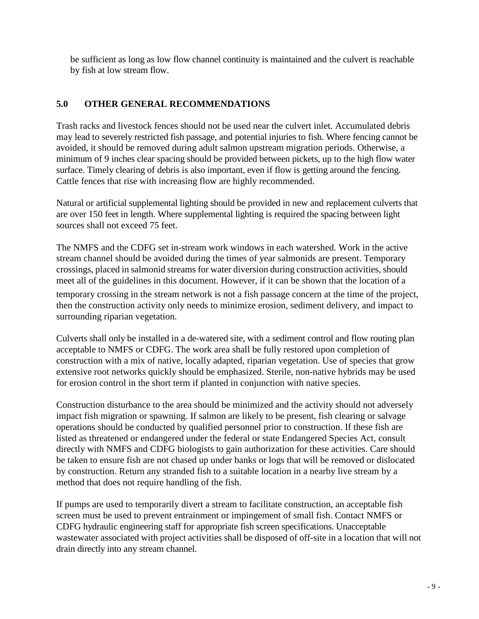be sufficient as long as low flow channel continuity is maintained and the culvert is reachable by fish at low stream flow.

## **5.0 OTHER GENERAL RECOMMENDATIONS**

Trash racks and livestock fences should not be used near the culvert inlet. Accumulated debris may lead to severely restricted fish passage, and potential injuries to fish. Where fencing cannot be avoided, it should be removed during adult salmon upstream migration periods. Otherwise, a minimum of 9 inches clear spacing should be provided between pickets, up to the high flow water surface. Timely clearing of debris is also important, even if flow is getting around the fencing. Cattle fences that rise with increasing flow are highly recommended.

Natural or artificial supplemental lighting should be provided in new and replacement culverts that are over 150 feet in length. Where supplemental lighting is required the spacing between light sources shall not exceed 75 feet.

The NMFS and the CDFG set in-stream work windows in each watershed. Work in the active stream channel should be avoided during the times of year salmonids are present. Temporary crossings, placed in salmonid streams for water diversion during construction activities, should meet all of the guidelines in this document. However, if it can be shown that the location of a temporary crossing in the stream network is not a fish passage concern at the time of the project, then the construction activity only needs to minimize erosion, sediment delivery, and impact to surrounding riparian vegetation.

Culverts shall only be installed in a de-watered site, with a sediment control and flow routing plan acceptable to NMFS or CDFG. The work area shall be fully restored upon completion of construction with a mix of native, locally adapted, riparian vegetation. Use of species that grow extensive root networks quickly should be emphasized. Sterile, non-native hybrids may be used for erosion control in the short term if planted in conjunction with native species.

Construction disturbance to the area should be minimized and the activity should not adversely impact fish migration or spawning. If salmon are likely to be present, fish clearing or salvage operations should be conducted by qualified personnel prior to construction. If these fish are listed as threatened or endangered under the federal or state Endangered Species Act, consult directly with NMFS and CDFG biologists to gain authorization for these activities. Care should be taken to ensure fish are not chased up under banks or logs that will be removed or dislocated by construction. Return any stranded fish to a suitable location in a nearby live stream by a method that does not require handling of the fish.

If pumps are used to temporarily divert a stream to facilitate construction, an acceptable fish screen must be used to prevent entrainment or impingement of small fish. Contact NMFS or CDFG hydraulic engineering staff for appropriate fish screen specifications. Unacceptable wastewater associated with project activities shall be disposed of off-site in a location that will not drain directly into any stream channel.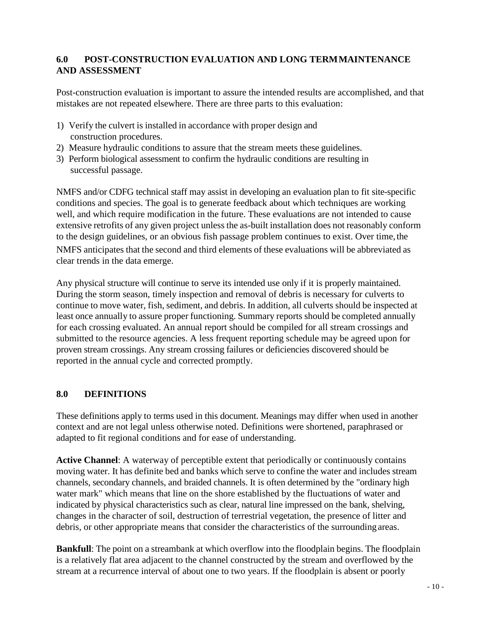# **6.0 POST-CONSTRUCTION EVALUATION AND LONG TERMMAINTENANCE AND ASSESSMENT**

Post-construction evaluation is important to assure the intended results are accomplished, and that mistakes are not repeated elsewhere. There are three parts to this evaluation:

- 1) Verify the culvert is installed in accordance with proper design and construction procedures.
- 2) Measure hydraulic conditions to assure that the stream meets these guidelines.
- 3) Perform biological assessment to confirm the hydraulic conditions are resulting in successful passage.

NMFS and/or CDFG technical staff may assist in developing an evaluation plan to fit site-specific conditions and species. The goal is to generate feedback about which techniques are working well, and which require modification in the future. These evaluations are not intended to cause extensive retrofits of any given project unless the as-built installation does not reasonably conform to the design guidelines, or an obvious fish passage problem continues to exist. Over time, the

NMFS anticipates that the second and third elements of these evaluations will be abbreviated as clear trends in the data emerge.

Any physical structure will continue to serve its intended use only if it is properly maintained. During the storm season, timely inspection and removal of debris is necessary for culverts to continue to move water, fish, sediment, and debris. In addition, all culverts should be inspected at least once annually to assure proper functioning. Summary reports should be completed annually for each crossing evaluated. An annual report should be compiled for all stream crossings and submitted to the resource agencies. A less frequent reporting schedule may be agreed upon for proven stream crossings. Any stream crossing failures or deficiencies discovered should be reported in the annual cycle and corrected promptly.

## **8.0 DEFINITIONS**

These definitions apply to terms used in this document. Meanings may differ when used in another context and are not legal unless otherwise noted. Definitions were shortened, paraphrased or adapted to fit regional conditions and for ease of understanding.

**Active Channel**: A waterway of perceptible extent that periodically or continuously contains moving water. It has definite bed and banks which serve to confine the water and includes stream channels, secondary channels, and braided channels. It is often determined by the "ordinary high water mark" which means that line on the shore established by the fluctuations of water and indicated by physical characteristics such as clear, natural line impressed on the bank, shelving, changes in the character of soil, destruction of terrestrial vegetation, the presence of litter and debris, or other appropriate means that consider the characteristics of the surroundingareas.

**Bankfull:** The point on a streambank at which overflow into the floodplain begins. The floodplain is a relatively flat area adjacent to the channel constructed by the stream and overflowed by the stream at a recurrence interval of about one to two years. If the floodplain is absent or poorly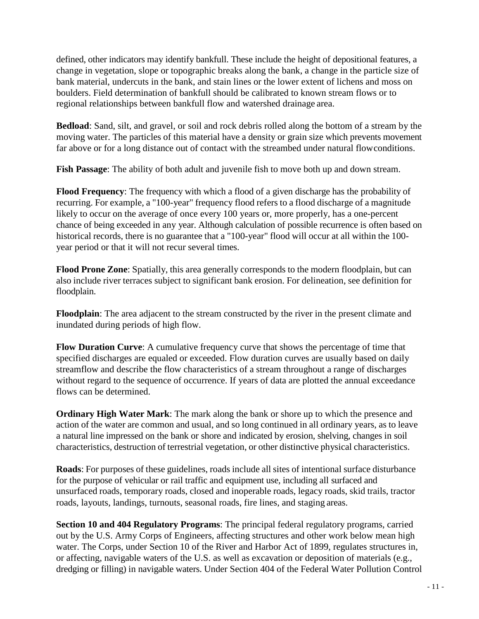defined, other indicators may identify bankfull. These include the height of depositional features, a change in vegetation, slope or topographic breaks along the bank, a change in the particle size of bank material, undercuts in the bank, and stain lines or the lower extent of lichens and moss on boulders. Field determination of bankfull should be calibrated to known stream flows or to regional relationships between bankfull flow and watershed drainage area.

**Bedload**: Sand, silt, and gravel, or soil and rock debris rolled along the bottom of a stream by the moving water. The particles of this material have a density or grain size which prevents movement far above or for a long distance out of contact with the streambed under natural flowconditions.

**Fish Passage**: The ability of both adult and juvenile fish to move both up and down stream.

**Flood Frequency**: The frequency with which a flood of a given discharge has the probability of recurring. For example, a "100-year" frequency flood refers to a flood discharge of a magnitude likely to occur on the average of once every 100 years or, more properly, has a one-percent chance of being exceeded in any year. Although calculation of possible recurrence is often based on historical records, there is no guarantee that a "100-year" flood will occur at all within the 100 year period or that it will not recur several times.

**Flood Prone Zone**: Spatially, this area generally corresponds to the modern floodplain, but can also include river terraces subject to significant bank erosion. For delineation, see definition for floodplain.

**Floodplain**: The area adjacent to the stream constructed by the river in the present climate and inundated during periods of high flow.

**Flow Duration Curve**: A cumulative frequency curve that shows the percentage of time that specified discharges are equaled or exceeded. Flow duration curves are usually based on daily streamflow and describe the flow characteristics of a stream throughout a range of discharges without regard to the sequence of occurrence. If years of data are plotted the annual exceedance flows can be determined.

**Ordinary High Water Mark**: The mark along the bank or shore up to which the presence and action of the water are common and usual, and so long continued in all ordinary years, as to leave a natural line impressed on the bank or shore and indicated by erosion, shelving, changes in soil characteristics, destruction of terrestrial vegetation, or other distinctive physical characteristics.

**Roads**: For purposes of these guidelines, roads include all sites of intentional surface disturbance for the purpose of vehicular or rail traffic and equipment use, including all surfaced and unsurfaced roads, temporary roads, closed and inoperable roads, legacy roads, skid trails, tractor roads, layouts, landings, turnouts, seasonal roads, fire lines, and staging areas.

**Section 10 and 404 Regulatory Programs**: The principal federal regulatory programs, carried out by the U.S. Army Corps of Engineers, affecting structures and other work below mean high water. The Corps, under Section 10 of the River and Harbor Act of 1899, regulates structures in, or affecting, navigable waters of the U.S. as well as excavation or deposition of materials (e.g., dredging or filling) in navigable waters. Under Section 404 of the Federal Water Pollution Control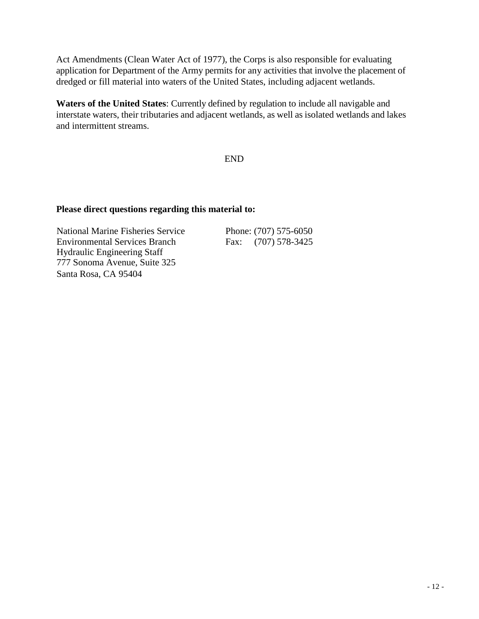Act Amendments (Clean Water Act of 1977), the Corps is also responsible for evaluating application for Department of the Army permits for any activities that involve the placement of dredged or fill material into waters of the United States, including adjacent wetlands.

**Waters of the United States**: Currently defined by regulation to include all navigable and interstate waters, their tributaries and adjacent wetlands, as well as isolated wetlands and lakes and intermittent streams.

END

#### **Please direct questions regarding this material to:**

National Marine Fisheries Service Phone: (707) 575-6050 Environmental Services Branch Hydraulic Engineering Staff 777 Sonoma Avenue, Suite 325 Santa Rosa, CA 95404

Fax: (707) 578-3425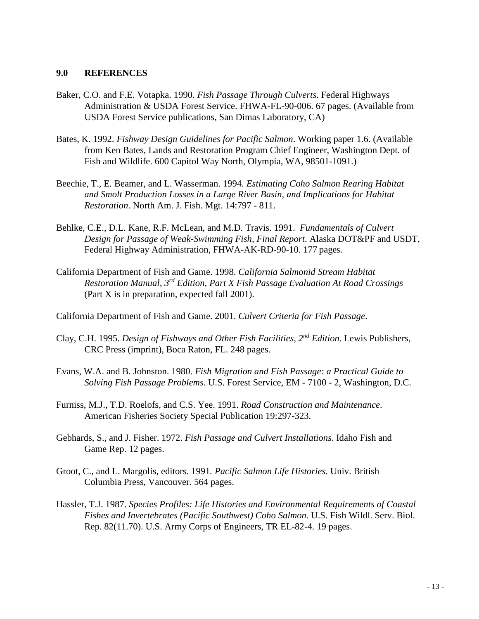#### **9.0 REFERENCES**

- Baker, C.O. and F.E. Votapka. 1990. *Fish Passage Through Culverts*. Federal Highways Administration & USDA Forest Service. FHWA-FL-90-006. 67 pages. (Available from USDA Forest Service publications, San Dimas Laboratory, CA)
- Bates, K. 1992. *Fishway Design Guidelines for Pacific Salmon*. Working paper 1.6. (Available from Ken Bates, Lands and Restoration Program Chief Engineer, Washington Dept. of Fish and Wildlife. 600 Capitol Way North, Olympia, WA, 98501-1091.)
- Beechie, T., E. Beamer, and L. Wasserman. 1994. *Estimating Coho Salmon Rearing Habitat and Smolt Production Losses in a Large River Basin, and Implications for Habitat Restoration*. North Am. J. Fish. Mgt. 14:797 - 811.
- Behlke, C.E., D.L. Kane, R.F. McLean, and M.D. Travis. 1991. *Fundamentals of Culvert Design for Passage of Weak-Swimming Fish, Final Report*. Alaska DOT&PF and USDT, Federal Highway Administration, FHWA-AK-RD-90-10. 177 pages.
- California Department of Fish and Game. 1998. *California Salmonid Stream Habitat Restoration Manual, 3rd Edition, Part X Fish Passage Evaluation At Road Crossings*  (Part X is in preparation, expected fall 2001).
- California Department of Fish and Game. 2001. *Culvert Criteria for Fish Passage*.
- Clay, C.H. 1995. *Design of Fishways and Other Fish Facilities, 2nd Edition*. Lewis Publishers, CRC Press (imprint), Boca Raton, FL. 248 pages.
- Evans, W.A. and B. Johnston. 1980. *Fish Migration and Fish Passage: a Practical Guide to Solving Fish Passage Problems*. U.S. Forest Service, EM - 7100 - 2, Washington, D.C.
- Furniss, M.J., T.D. Roelofs, and C.S. Yee. 1991. *Road Construction and Maintenance*. American Fisheries Society Special Publication 19:297-323.
- Gebhards, S., and J. Fisher. 1972. *Fish Passage and Culvert Installations*. Idaho Fish and Game Rep. 12 pages.
- Groot, C., and L. Margolis, editors. 1991*. Pacific Salmon Life Histories*. Univ. British Columbia Press, Vancouver. 564 pages.
- Hassler, T.J. 1987. *Species Profiles: Life Histories and Environmental Requirements of Coastal Fishes and Invertebrates (Pacific Southwest) Coho Salmon*. U.S. Fish Wildl. Serv. Biol. Rep. 82(11.70). U.S. Army Corps of Engineers, TR EL-82-4. 19 pages.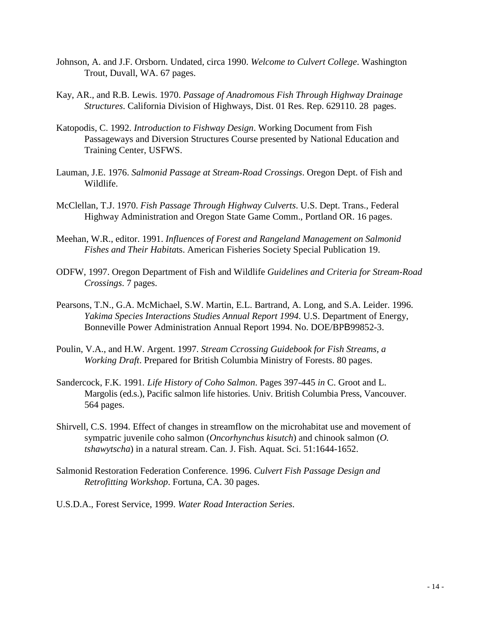- Johnson, A. and J.F. Orsborn. Undated, circa 1990. *Welcome to Culvert College*. Washington Trout, Duvall, WA. 67 pages.
- Kay, AR., and R.B. Lewis. 1970. *Passage of Anadromous Fish Through Highway Drainage Structures*. California Division of Highways, Dist. 01 Res. Rep. 629110. 28 pages.
- Katopodis, C. 1992. *Introduction to Fishway Design*. Working Document from Fish Passageways and Diversion Structures Course presented by National Education and Training Center, USFWS.
- Lauman, J.E. 1976. *Salmonid Passage at Stream-Road Crossings*. Oregon Dept. of Fish and Wildlife.
- McClellan, T.J. 1970. *Fish Passage Through Highway Culverts*. U.S. Dept. Trans., Federal Highway Administration and Oregon State Game Comm., Portland OR. 16 pages.
- Meehan, W.R., editor. 1991. *Influences of Forest and Rangeland Management on Salmonid Fishes and Their Habita*ts. American Fisheries Society Special Publication 19.
- ODFW, 1997. Oregon Department of Fish and Wildlife *Guidelines and Criteria for Stream-Road Crossings*. 7 pages.
- Pearsons, T.N., G.A. McMichael, S.W. Martin, E.L. Bartrand, A. Long, and S.A. Leider. 1996. *Yakima Species Interactions Studies Annual Report 1994*. U.S. Department of Energy, Bonneville Power Administration Annual Report 1994. No. DOE/BPB99852-3.
- Poulin, V.A., and H.W. Argent. 1997. *Stream Ccrossing Guidebook for Fish Streams, a Working Draft*. Prepared for British Columbia Ministry of Forests. 80 pages.
- Sandercock, F.K. 1991*. Life History of Coho Salmon*. Pages 397-445 *in* C. Groot and L. Margolis (ed.s.), Pacific salmon life histories. Univ. British Columbia Press, Vancouver. 564 pages.
- Shirvell, C.S. 1994. Effect of changes in streamflow on the microhabitat use and movement of sympatric juvenile coho salmon (*Oncorhynchus kisutch*) and chinook salmon (*O. tshawytscha*) in a natural stream. Can. J. Fish. Aquat. Sci. 51:1644-1652.
- Salmonid Restoration Federation Conference. 1996. *Culvert Fish Passage Design and Retrofitting Workshop*. Fortuna, CA. 30 pages.
- U.S.D.A., Forest Service, 1999. *Water Road Interaction Series*.